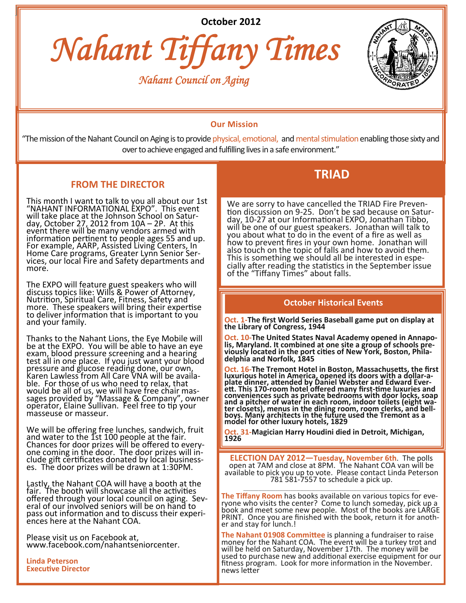**October 2012**







# **Our Mission**

"The mission of the Nahant Council on Aging is to provide physical, emotional, and mental stimulation enabling those sixty and over to achieve engaged and fulfilling lives in a safe environment."

## **FROM THE DIRECTOR**

This month I want to talk to you all about our 1st "NAHANT INFORMATIONAL EXPO". This event will take place at the Johnson School on Satur-<br>day, October 27, 2012 from 10A – 2P. At this event there will be many vendors armed with information pertinent to people ages 55 and up.<br>For example, AARP, Assisted Living Centers, In Home Care programs, Greater Lynn Senior Services, our local Fire and Safety departments and more.

The EXPO will feature guest speakers who will discuss topics like: Wills & Power of Attorney,<br>Nutrition, Spiritual Care, Fitness, Safety and more. These speakers will bring their expertise to deliver information that is important to you<br>and your family.

Thanks to the Nahant Lions, the Eye Mobile will be at the EXPO. You will be able to have an eye exam, blood pressure screening and a hearing test all in one place. If you just want your blood pressure and glucose reading done, our own, Karen Lawless from All Care VNA will be availa-<br>ble. For those of us who need to relax, that would be all of us, we will have free chair mas-<br>sages provided by "Massage & Company", owner operator, Elaine Sullivan. Feel free to tip your masseuse or masseur.

We will be offering free lunches, sandwich, fruit<br>and water to the 1st 100 people at the fair. chances for door prizes will be offered to every-<br>one coming in the door. The door prizes will in-<br>clude gift certificates donated by local business-<br>es. The door prizes will be drawn at 1:30PM.

Lastly, the Nahant COA will have a booth at the fair. The booth will showcase all the activities offered through your local council on aging. Sevoffered through your local council on aging. Sev-<br>eral of our involved seniors will be on hand to pass out information and to discuss their experi-<br>ences here at the Nahant COA.

Please visit us on Facebook at, www.facebook.com/nahantseniorcenter.

**Linda Peterson ExecuƟve Director**

# **TRIAD**

We are sorry to have cancelled the TRIAD Fire Prevention discussion on 9-25. Don't be sad because on Satur-<br>day, 10-27 at our Informational EXPO, Jonathan Tibbo, will be one of our guest speakers. Jonathan will talk to you about what to do in the event of a fire as well as how to prevent fires in your own home. Jonathan will also touch on the topic of falls and how to avoid them. also touch on the topic of falls and how to avoid them.<br>This is something we should all be interested in espe-<br>cially after reading the statistics in the September issue of the "Tiffany Times" about falls.

### **October Historical Events**

**Oct. 1‐The first World Series Baseball game put on display at the Library of Congress, 1944**

Oct. 10-The United States Naval Academy opened in Annapo-<br>lis, Maryland. It combined at one site a group of schools pre-<br>viously located in the port cities of New York, Boston, Phila-<br>delphia and Norfolk, 1845

**Oct. 16‐The Tremont Hotel in Boston, MassachuseƩs, the first Survivious hotel in America, opened its doors with a dollar-a-**<br>plate dinner, attended by Daniel Webster and Edward Ever-<br>ett. This 170-room hotel offered many first-time luxuries and<br>conveniences such as private bedrooms and a pitcher of water in each room, indoor toilets (eight water closets), menus in the dining room, room clerks, and bell-<br>boys. Many architects in the dining room, room clerks, and bell-<br>boys. Many architects in the futu **model for other luxury hotels, 1829**

**Oct. <sup>31</sup>‐Magician Harry Houdini died in Detroit, Michigan, <sup>1926</sup>**

**ELECTION DAY 2012—Tuesday, November 6th**. The polls open at 7AM and close at 8PM. The Nahant COA van will be available to pick you up to vote. Please contact Linda Peterson 781 581‐7557 to schedule a pick up.

 $\_$  ,  $\_$  ,  $\_$  ,  $\_$  ,  $\_$  ,  $\_$  ,  $\_$  ,  $\_$  ,  $\_$  ,  $\_$  ,  $\_$  ,  $\_$  ,  $\_$  ,  $\_$  ,  $\_$  ,  $\_$  ,  $\_$  ,  $\_$  ,  $\_$  ,  $\_$ 

**The Tiffany Room** has books available on various topics for eve‐ ryone who visits the center? Come to lunch someday, pick up <sup>a</sup> book and meet some new people. Most of the books are LARGE PRINT. Once you are finished with the book, return it for anoth-<br>er and stay for lunch.!

**The Nahant 01908 Committee** is planning a fundraiser to raise money for the Nahant COA. The event will be a turkey trot and will be held on Saturday, November 17th. The money will be used to purchase new and additional exercise equipment for our fitness program. Look for more information in the November. news letter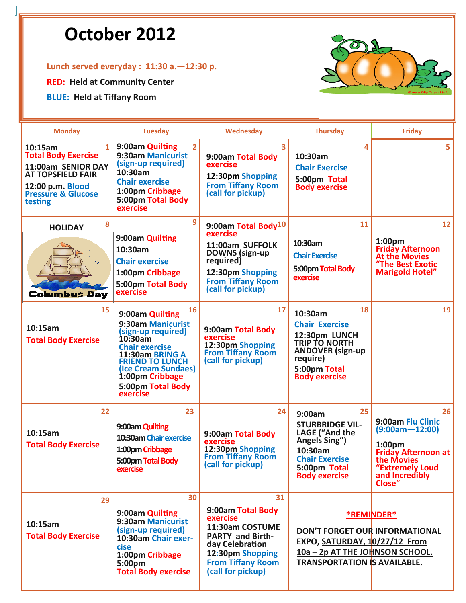# **October 2012**

# **Lunch served everyday : 11:30 a.—12:30 p.**

**RED: Held at Community Center**

**BLUE: Held at Tiffany Room**



| <b>Monday</b>                                                                                                                                                           | <b>Tuesday</b>                                                                                                                                                                                                               | Wednesday                                                                                                                                                                 | <b>Thursday</b>                                                                                                                                                       | <b>Friday</b>                                                                                                                                                  |
|-------------------------------------------------------------------------------------------------------------------------------------------------------------------------|------------------------------------------------------------------------------------------------------------------------------------------------------------------------------------------------------------------------------|---------------------------------------------------------------------------------------------------------------------------------------------------------------------------|-----------------------------------------------------------------------------------------------------------------------------------------------------------------------|----------------------------------------------------------------------------------------------------------------------------------------------------------------|
| $\mathbf{1}$<br>10:15am<br><b>Total Body Exercise</b><br>11:00am SENIOR DAY<br><b>AT TOPSFIELD FAIR</b><br>12:00 p.m. Blood<br><b>Pressure &amp; Glucose</b><br>testing | 9:00am Quilting<br>$\overline{2}$<br>9:30am Manicurist<br>(sign-up required)<br>10:30am<br><b>Chair exercise</b><br>1:00pm Cribbage<br>5:00pm Total Body<br>exercise                                                         | 3<br>9:00am Total Body<br>exercise<br>12:30pm Shopping<br><b>From Tiffany Room</b><br>(call for pickup)                                                                   | 4<br>10:30am<br><b>Chair Exercise</b><br>5:00pm Total<br><b>Body exercise</b>                                                                                         | 5                                                                                                                                                              |
| 8<br><b>HOLIDAY</b><br><b>Columbus Day</b>                                                                                                                              | 9<br>9:00am Quilting<br>10:30am<br><b>Chair exercise</b><br>1:00pm Cribbage<br>5:00pm Total Body<br>exercise                                                                                                                 | 9:00am Total Body <sup>10</sup><br>exercise<br>11:00am SUFFOLK<br>DOWNS (sign-up<br>required)<br>12:30pm Shopping<br><b>From Tiffany Room</b><br>(call for pickup)        | 11<br>10:30am<br><b>Chair Exercise</b><br>5:00pm Total Body<br>exercise                                                                                               | 12<br>1:00 <sub>pm</sub><br><b>Friday Afternoon</b><br><b>At the Movies</b><br>"The Best Exotic<br><b>Marigold Hotel"</b>                                      |
| 15<br>10:15am<br><b>Total Body Exercise</b>                                                                                                                             | 16<br>9:00am Quilting<br>9:30am Manicurist<br>(sign-up required)<br>10:30am<br><b>Chair exercise</b><br>11:30am BRING A<br><b>FRIEND TO LUNCH</b><br>(Ice Cream Sundaes)<br>1:00pm Cribbage<br>5:00pm Total Body<br>exercise | 17<br>9:00am Total Body<br>exercise<br>12:30pm Shopping<br><b>From Tiffany Room</b><br>(call for pickup)                                                                  | 18<br>10:30am<br><b>Chair Exercise</b><br>12:30pm LUNCH<br><b>TRIP TO NORTH</b><br><b>ANDOVER</b> (sign-up)<br>require)<br>5:00pm Total<br><b>Body exercise</b>       | 19                                                                                                                                                             |
| 22<br>10:15am<br><b>Total Body Exercise</b>                                                                                                                             | 23<br>9:00am Quilting<br>10:30am Chair exercise<br>1:00pm Cribbage<br>5:00pm Total Body<br>exercise                                                                                                                          | 24<br>9:00am Total Body<br>exercise<br>12:30pm Shopping<br><b>From Tiffany Room</b><br>(call for pickup)                                                                  | 25<br>9:00am<br><b>STURBRIDGE VIL-</b><br>LAGE ("And the<br>Angels Sing")<br>10:30am<br><b>Chair Exercise</b><br>5:00pm Total<br><b>Body exercise</b>                 | 26<br>9:00am Flu Clinic<br>$(9:00am - 12:00)$<br>1:00 <sub>pm</sub><br><b>Friday Afternoon at</b><br>the Movies<br>"Extremely Loud<br>and Incredibly<br>Close" |
| 29<br>10:15am<br><b>Total Body Exercise</b>                                                                                                                             | 30<br>9:00am Quilting<br>9:30am Manicurist<br>(sign-up required)<br>10:30am Chair exer-<br>cise<br>1:00pm Cribbage<br>5:00pm<br><b>Total Body exercise</b>                                                                   | 31<br>9:00am Total Body<br>exercise<br>11:30am COSTUME<br><b>PARTY and Birth-</b><br>day Celebration<br>12:30pm Shopping<br><b>From Tiffany Room</b><br>(call for pickup) | <b>*REMINDER*</b><br><b>DON'T FORGET OUR INFORMATIONAL</b><br>EXPO, SATURDAY, 10/27/12 From<br>10a - 2p AT THE JOHNSON SCHOOL.<br><b>TRANSPORTATION IS AVAILABLE.</b> |                                                                                                                                                                |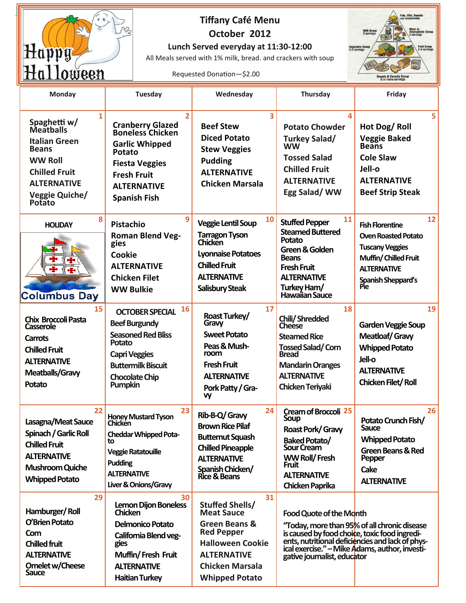

# **Tiffany Café Menu October 2012**

# **Lunch Served everyday at 11:30‐12:00**

All Meals served with 1% milk, bread. and crackers with soup

Requested Donation-\$2.00



| <b>TTATTA MACTI</b>                                                                                                                                                |                                                                                                                                                                                               |                                                                                                                                                                                             |                                                                                                                                                                                        | 6 or more servings                                                                                                                                              |
|--------------------------------------------------------------------------------------------------------------------------------------------------------------------|-----------------------------------------------------------------------------------------------------------------------------------------------------------------------------------------------|---------------------------------------------------------------------------------------------------------------------------------------------------------------------------------------------|----------------------------------------------------------------------------------------------------------------------------------------------------------------------------------------|-----------------------------------------------------------------------------------------------------------------------------------------------------------------|
| Monday                                                                                                                                                             | <b>Tuesday</b>                                                                                                                                                                                | Wednesday                                                                                                                                                                                   | Thursday                                                                                                                                                                               | Friday                                                                                                                                                          |
| 1<br>Spaghetti w/<br>Meatballs<br><b>Italian Green</b><br><b>Beans</b><br><b>WW Roll</b><br><b>Chilled Fruit</b><br><b>ALTERNATIVE</b><br>Veggie Quiche/<br>Potato | $\overline{2}$<br><b>Cranberry Glazed<br/>Boneless Chicken</b><br><b>Garlic Whipped</b><br>Potato<br><b>Fiesta Veggies</b><br><b>Fresh Fruit</b><br><b>ALTERNATIVE</b><br><b>Spanish Fish</b> | 3<br><b>Beef Stew</b><br><b>Diced Potato</b><br><b>Stew Veggies</b><br><b>Pudding</b><br><b>ALTERNATIVE</b><br><b>Chicken Marsala</b>                                                       | <b>Potato Chowder</b><br>Turkey Salad/<br><b>WW</b><br><b>Tossed Salad</b><br><b>Chilled Fruit</b><br><b>ALTERNATIVE</b><br>Egg Salad/WW                                               | 5<br>Hot Dog/Roll<br><b>Veggie Baked</b><br><b>Beans</b><br><b>Cole Slaw</b><br>Jell-o<br><b>ALTERNATIVE</b><br><b>Beef Strip Steak</b>                         |
| 8<br><b>HOLIDAY</b><br>÷<br><b>Columbus Day</b>                                                                                                                    | 9<br>Pistachio<br><b>Roman Blend Veg-</b><br>gies<br><b>Cookie</b><br><b>ALTERNATIVE</b><br><b>Chicken Filet</b><br><b>WW Bulkie</b>                                                          | 10<br><b>Veggie Lentil Soup</b><br><b>Tarragon Tyson</b><br>Chicken<br><b>Lyonnaise Potatoes</b><br><b>Chilled Fruit</b><br><b>ALTERNATIVE</b><br>Salisbury Steak                           | 11<br><b>Stuffed Pepper</b><br><b>Steamed Buttered</b><br>Potato<br>Green & Golden<br><b>Beans</b><br><b>Fresh Fruit</b><br><b>ALTERNATIVE</b><br>Turkey Ham/<br>Hawaiian Sauce        | 12<br><b>Fish Florentine</b><br><b>Oven Roasted Potato</b><br><b>Tuscany Veggies</b><br>Muffin/Chilled Fruit<br><b>ALTERNATIVE</b><br>Spanish Sheppard's<br>Pie |
| 15<br>Chix Broccoli Pasta<br><b>Casserole</b><br><b>Carrots</b><br><b>Chilled Fruit</b><br><b>ALTERNATIVE</b><br>Meatballs/Gravy<br>Potato                         | 16<br><b>OCTOBER SPECIAL</b><br><b>Beef Burgundy</b><br><b>Seasoned Red Bliss</b><br>Potato<br><b>Capri Veggies</b><br><b>Buttermilk Biscuit</b><br><b>Chocolate Chip</b><br>Pumpkin          | 17<br>Roast Turkey/<br>Gravy<br><b>Sweet Potato</b><br>Peas & Mush-<br>room<br><b>Fresh Fruit</b><br><b>ALTERNATIVE</b><br>Pork Patty / Gra-<br>vy                                          | 18<br>Chili/Shredded<br>Cheese<br><b>Steamed Rice</b><br><b>Tossed Salad/Corn</b><br><b>Bread</b><br><b>Mandarin Oranges</b><br><b>ALTERNATIVE</b><br><b>Chicken Teriyaki</b>          | 19<br><b>Garden Veggie Soup</b><br><b>Meatloaf/Gravy</b><br><b>Whipped Potato</b><br>Jell-o<br><b>ALTERNATIVE</b><br><b>Chicken Filet/Roll</b>                  |
| 22<br>Lasagna/Meat Sauce<br>Spinach / Garlic Roll<br><b>Chilled Fruit</b><br><b>ALTERNATIVE</b><br><b>Mushroom Quiche</b><br><b>Whipped Potato</b>                 | 23<br>Honey Mustard Tyson<br>Chicken<br><b>Cheddar Whipped Pota-</b><br>tο<br><b>Veggie Ratatouille</b><br>Pudding<br><b>ALTERNATIVE</b><br>Liver & Onions/Gravy                              | 24<br>Rib-B-Q/ Gravy<br><b>Brown Rice Pilaf</b><br><b>Butternut Squash</b><br><b>Chilled Pineapple</b><br><b>ALTERNATIVE</b><br>Spanish Chicken/<br>Rice & Beans                            | <b>Cream of Broccoli 25</b><br>Soup<br>Roast Pork/ Gravy<br><b>Baked Potato/</b><br><b>Sour Cream</b><br><b>WW Roll/Fresh</b><br><b>Fruit</b><br><b>ALTERNATIVE</b><br>Chicken Paprika | 26<br>Potato Crunch Fish/<br>Sauce<br><b>Whipped Potato</b><br>Green Beans & Red<br>Pepper<br>Cake<br><b>ALTERNATIVE</b>                                        |
| 29<br>Hamburger/Roll<br>O'Brien Potato<br>Corn<br><b>Chilled fruit</b><br><b>ALTERNATIVE</b><br>Omelet w/Cheese<br>Sauce                                           | 30<br><b>Lemon Dijon Boneless</b><br><b>Chicken</b><br><b>Delmonico Potato</b><br>California Blend veg-<br>gies<br>Muffin/Fresh Fruit<br><b>ALTERNATIVE</b><br><b>Haitian Turkey</b>          | 31<br><b>Stuffed Shells/</b><br><b>Meat Sauce</b><br>Green Beans &<br><b>Red Pepper</b><br><b>Halloween Cookie</b><br><b>ALTERNATIVE</b><br><b>Chicken Marsala</b><br><b>Whipped Potato</b> | <b>Food Quote of the Month</b><br>is caused by food choice, toxic food ingredi-<br>ical exercise." - Mike Adams, author, investi-<br>gative journalist, educator                       | "Today, more than 95% of all chronic disease<br>ents, nutritional deficiencies and lack of phys-                                                                |